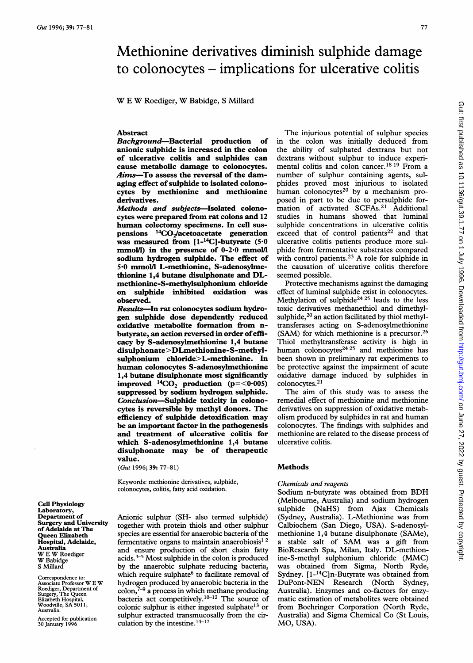# Methionine derivatives diminish sulphide damage to colonocytes - implications for ulcerative colitis

W <sup>E</sup> W Roediger, W Babidge, <sup>S</sup> Millard

## Abstract

Background-Bacterial production of anionic sulphide is increased in the colon of ulcerative colitis and sulphides can cause metabolic damage to colonocytes. Aims-To assess the reversal of the damaging effect of sulphide to isolated colonocytes by methionine and methionine derivatives.

Methods and subjects-Isolated colonocytes were prepared from rat colons and 12 human colectomy specimens. In cell suspensions  $^{14}CO_2/a$  cetoacetate generation was measured from  $[1-14C]$ -butyrate (5.0) mmol/l) in the presence of 0-2.0 mmol/l sodium hydrogen sulphide. The effect of 5.0 mmol/l L-methionine, S-adenosyhmethionine 1,4 butane disulphonate and DLmethionine-S-methylsulphonium chloride on sulphide inhibited oxidation was observed.

Results-In rat colonocytes sodium hydrogen sulphide dose dependently reduced oxidative metabolite formation from nbutyrate, an action reversed in order ofefficacy by S-adenosylmethionine 1,4 butane disulphonate>DLmethionine-S-methylsulphonium chloride>L-methionine. In human colonocytes S-adenosylmethionine 1,4 butane disulphonate most significantly improved  $^{14}CO_2$  production (p=<0.005) suppressed by sodium hydrogen sulphide. Conclusion-Sulphide toxicity in colonocytes is reversible by methyl donors. The efficiency of sulphide detoxification may be an important factor in the pathogenesis and treatment of ulcerative colitis for which S-adenosylmethionine 1,4 butane disulphonate may be of therapeutic value.

(Gut 1996; 39: 77-81)

Keywords: methionine derivatives, sulphide, colonocytes, colitis, fatty acid oxidation.

Cell Physiology Laboratory, Department of Surgery and University ofAdelaide at The Queen Elizabeth Hospital, Adelaide, Australia W <sup>E</sup> W Roediger W Babidge S Millard

Correspondence to: Associate Professor W <sup>E</sup> W Roediger, Department of Surgery, The Queen Elizabeth Hospital, Woodville, SA 501 1, Australia.

Accepted for publication 30 January 1996

Anionic sulphur (SH- also termed sulphide) together with protein thiols and other sulphur species are essential for anaerobic bacteria of the fermentative organs to maintain anaerobiosis<sup>12</sup> and ensure production of short chain fatty acids.3-5 Most sulphide in the colon is produced by the anaerobic sulphate reducing bacteria, which require sulphate<sup>6</sup> to facilitate removal of hydrogen produced by anaerobic bacteria in the  $\text{colon}_7^{-9}$  a process in which methane producing. bacteria act competitively.<sup>10-12</sup> The source of colonic sulphur is either ingested sulphate<sup>13</sup> or sulphur extracted transmucosally from the circulation by the intestine. $14-17$ 

The injurious potential of sulphur species in the colon was initially deduced from the ability of sulphated dextrans but not dextrans without sulphur to induce experimental colitis and colon cancer.<sup>18 19</sup> From a number of sulphur containing agents, sulphides proved most injurious to isolated human colonocytes<sup>20</sup> by a mechanism proposed in part to be due to persulphide formation of activated SCFAs.21 Additional studies in humans showed that luminal sulphide concentrations in ulcerative colitis exceed that of control patients<sup>22</sup> and that ulcerative colitis patients produce more sulphide from fermentative substrates compared with control patients.<sup>23</sup> A role for sulphide in the causation of ulcerative colitis therefore seemed possible.

Protective mechanisms against the damaging effect of luminal sulphide exist in colonocytes. Methylation of sulphide<sup>24 25</sup> leads to the less toxic derivatives methanethiol and dimethylsulphide,<sup>20</sup> an action facilitated by thiol methyltransferases acting on S-adenosylmethionine (SAM) for which methionine is a precursor.<sup>26</sup> Thiol methyltransferase activity is high in human colonocytes $24 25$  and methionine has been shown in preliminary rat experiments to be protective against the impairment of acute oxidative damage induced by sulphides in colonocytes.21

The aim of this study was to assess the remedial effect of methionine and methionine derivatives on suppression of oxidative metabolism produced by sulphides in rat and human colonocytes. The findings with sulphides and methionine are related to the disease process of ulcerative colitis.

#### Methods

#### Chemicals and reagents

Sodium n-butyrate was obtained from BDH (Melbourne, Australia) and sodium hydrogen sulphide (NaHS) from Ajax Chemicals (Sydney, Australia). L-Methionine was from Calbiochem (San Diego, USA). S-adenosylmethionine 1,4 butane disulphonate (SAMe), <sup>a</sup> stable salt of SAM was <sup>a</sup> gift from BioResearch Spa, Milan, Italy. DL-methionine-S-methyl sulphonium chloride (MMC) was obtained from Sigma, North Ryde, Sydney. [1-14C]n-Butyrate was obtained from DuPont-NEN Research (North Sydney, Australia). Enzymes and co-factors for enzymatic estimation of metabolites were obtained from Boehringer Corporation (North Ryde, Australia) and Sigma Chemical Co (St Louis, MO, USA).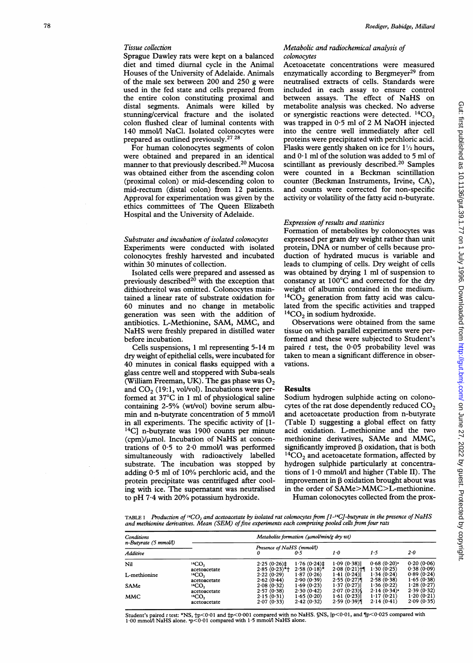## Tissue collection

Sprague Dawley rats were kept on a balanced diet and timed diurnal cycle in the Animal Houses of the University of Adelaide. Animals of the male sex between 200 and 250 g were used in the fed state and cells prepared from the entire colon constituting proximal and distal segments. Animals were killed by stunning/cervical fracture and the isolated colon flushed clear of luminal contents with 140 mmol/l NaCl. Isolated colonocytes were prepared as outlined previously.27 28

For human colonocytes segments of colon were obtained and prepared in an identical manner to that previously described.20 Mucosa was obtained either from the ascending colon (proximal colon) or mid-descending colon to mid-rectum (distal colon) from 12 patients. Approval for experimentation was given by the ethics committees of The Queen Elizabeth Hospital and the University of Adelaide.

## Substrates and incubation of isolated colonocytes Experiments were conducted with isolated colonocytes freshly harvested and incubated within 30 minutes of collection.

Isolated cells were prepared and assessed as previously described $^{20}$  with the exception that dithiothreitol was omitted. Colonocytes maintained a linear rate of substrate oxidation for 60 minutes and no change in metabolic generation was seen with the addition of antibiotics. L-Methionine, SAM, MMC, and NaHS were freshly prepared in distilled water before incubation.

Cells suspensions, <sup>1</sup> ml representing 5-14 m dry weight of epithelial cells, were incubated for 40 minutes in conical flasks equipped with a glass centre well and stoppered with Suba-seals (William Freeman, UK). The gas phase was  $O_2$ and  $CO<sub>2</sub>$  (19:1, vol/vol). Incubations were performed at 37°C in <sup>1</sup> ml of physiological saline containing 2-5% (wt/vol) bovine serum albumin and n-butyrate concentration of 5 mmol/l in all experiments. The specific activity of [1- 14C] n-butyrate was 1900 counts per minute  $(cpm)/\mu$ mol. Incubation of NaHS at concentrations of 0.5 to 2-0 mmol/1 was performed simultaneously with radioactively labelled substrate. The incubation was stopped by adding 0.5 ml of 10% perchloric acid, and the protein precipitate was centrifuged after cooling with ice. The supernatant was neutralised to pH 7.4 with 20% potassium hydroxide.

#### Metabolic and radiochemical analysis of colonocytes

Acetoacetate concentrations were measured enzymatically according to Bergmeyer<sup>29</sup> from neutralised extracts of cells. Standards were included in each assay to ensure control between assays. The effect of NaHS on metabolite analysis was checked. No adverse or synergistic reactions were detected.  ${}^{14}CO_2$ was trapped in  $0.5$  ml of 2 M NaOH injected into the centre well immediately after cell proteins were precipitated with perchloric acid. Flasks were gently shaken on ice for  $1\frac{1}{2}$  hours, and  $0.1$  ml of the solution was added to 5 ml of scintillant as previously described.<sup>20</sup> Samples were counted in a Beckman scintillation counter (Beckman Instruments, Irvine, CA), and counts were corrected for non-specific activity or volatility of the fatty acid n-butyrate.

#### Expression of results and statistics

Formation of metabolites by colonocytes was expressed per gram dry weight rather than unit protein, DNA or number of cells because production of hydrated mucus is variable and leads to clumping of cells. Dry weight of cells was obtained by drying <sup>1</sup> ml of suspension to constancy at 100°C and corrected for the dry weight of albumin contained in the medium.  ${}^{14}CO_2$  generation from fatty acid was calculated from the specific activities and trapped  $14CO<sub>2</sub>$  in sodium hydroxide.

Observations were obtained from the same tissue on which parallel experiments were performed and these were subjected to Student's paired <sup>t</sup> test, the 0.05 probability level was taken to mean a significant difference in observations.

### Results

Sodium hydrogen sulphide acting on colonocytes of the rat dose dependently reduced  $CO<sub>2</sub>$ and acetoacetate production from n-butyrate (Table I) suggesting a global effect on fatty acid oxidation. L-methionine and the two methionine derivatives, SAMe and MMC, significantly improved P oxidation, that is both  ${}^{14}CO_2$  and acetoacetate formation, affected by hydrogen sulphide particularly at concentrations of 1.0 mmol/l and higher (Table II). The improvement in P oxidation brought about was in the order of SAMe>MMC>L-methionine.

Human colonocytes collected from the prox-

TABLE I Production of  ${}^{14}CO_2$  and acetoacetate by isolated rat colonocytes from [1- ${}^{14}Cl$ -butyrate in the presence of NaHS and methionine derivatives. Mean (SEM) of five experiments each comprising pooled cells from four rats

| Conditions                           |                               | Metabolite formation (umol/min/g dry wt) |                |                  |                |            |  |
|--------------------------------------|-------------------------------|------------------------------------------|----------------|------------------|----------------|------------|--|
| $n$ -Butyrate (5 mmol/l)<br>Additive |                               | Presence of NaHS (mmol/l)<br>0           | 0.5            | 1.0              | 1.5            | $2 - 0$    |  |
| Nil                                  | <sup>14</sup> CO <sub>2</sub> | 2.25(0.26)                               | 1.76(0.24)     | 1.09(0.38)       | $0.68(0.20)$ * | 0.20(0.06) |  |
|                                      | acetoacetate                  | $2.85(0.23)$ *†                          | $2.58(0.18)$ * | $2.08(0.21)$ $H$ | 1.30(0.25)     | 0.38(0.09) |  |
| L-methionine                         | <sup>14</sup> CO <sub>2</sub> | 2.22(0.29)                               | 1.87(0.26)     | 1.41(0.24)       | 1.34(0.24)     | 0.89(0.24) |  |
|                                      | acetoacetate                  | 2.62(0.44)                               | 2.90(0.39)     | 2.55(0.27)       | 2.58(0.38)     | 1.65(0.38) |  |
| SAMe                                 | <sup>14</sup> CO <sub>2</sub> | 2.08(0.32)                               | 1.69(0.23)     | 1.37(0.27)       | 1.36(0.22)     | 1.28(0.27) |  |
|                                      | acetoacetate                  | 2.57(0.38)                               | 2.30(0.42)     | 2.07(0.23)       | $2.14(0.34)$ * | 2.39(0.32) |  |
| MMC                                  | <sup>14</sup> CO <sub>2</sub> | 2.15(0.31)                               | 1.65(0.20)     | 1.61 (0.23)      | 1.17(0.21)     | 1.20(0.21) |  |
|                                      | acetoacetate                  | 2.07(0.33)                               | 2.42(0.32)     | 2.59(0.39)       | 2.14(0.41)     | 2.09(0.35) |  |

Student's paired 1 test: \*NS, †p<0·01 and ‡p<0·001 compared with no NaHS. §NS,  $\parallel$ p<0·01, and ¶p<0·025 compared with<br>1·00 mmol/l NaHS alone. •p<0·01 compared with 1·5 mmol/l NaHS alone.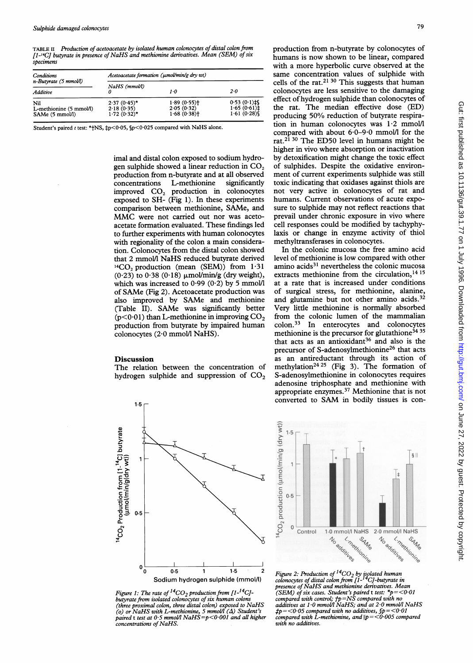TABLE II Production of acetoacetate by isolated human colonocytes of distal colon from [1-<sup>14</sup>C] butyrate in presence of NaHS and methionine derivatives. Mean (SEM) of six specimens

| Conditions                                        | Acetoacetate formation (umol/min/g dry wt)     |                                        |                                                    |  |  |
|---------------------------------------------------|------------------------------------------------|----------------------------------------|----------------------------------------------------|--|--|
| $n$ -Butyrate (5 mmol/l)<br>Additive              | NaHS (mmol/l)                                  | 1.0                                    | $2 - 0$                                            |  |  |
| Nil<br>L-methionine (5 mmol/l)<br>SAMe (5 mmol/l) | $2.37(0.45)$ *<br>2.18(0.35)<br>$1.72(0.32)$ * | 1.89(0.55)<br>2.05(0.32)<br>1.68(0.38) | $0.53(0.1)$ $\uparrow$<br>1.65(0.61)<br>1.61(0.28) |  |  |

Student's paired  $t$  test: \* | NS,  $\frac{1}{2}p < 0.05$ ,  $p < 0.025$  compared with NaHS alone.

imal and distal colon exposed to sodium hydrogen sulphide showed a linear reduction in  $CO<sub>2</sub>$ production from n-butyrate and at all observed<br>concentrations L-methionine significantly L-methionine improved CO, production in colonocytes exposed to SH- (Fig 1). In these experiments comparison between methionine, SAMe, and MMC were not carried out nor was acetoacetate formation evaluated. These findings led to further experiments with human colonocytes with regionality of the colon a main consideration. Colonocytes from the distal colon showed that <sup>2</sup> mmol/l NaHS reduced butyrate derived  $^{14}CO$ , production (mean (SEM)) from  $1.31$  $(0.23)$  to  $0.38$   $(0.18)$   $\mu$ mol/min/g (dry weight), which was increased to  $0.99$  ( $0.2$ ) by 5 mmol/l of SAMe (Fig 2). Acetoacetate production was also improved by SAMe and methionine (Table II). SAMe was significantly better ( $p$ <0.01) than L-methionine in improving  $CO<sub>2</sub>$ production from butyrate by impaired human colonocytes (2.0 mmol/l NaHS).

## Discussion

The relation between the concentration of hydrogen sulphide and suppression of  $CO<sub>2</sub>$ 



Figure 1: The rate of  ${}^{14}CO_2$  production from [1- ${}^{14}Cl$ butyrate from isolated colonocytes of six human colons (three proximal colon, three distal colon) exposed to NaHS (o) or NaHS with L-methionine, 5 mmol/l ( $\Delta$ ) Student's paired t test at 0.5 mmol/l NaHS=p<0.001 and all higher concentrations of NaHS.

production from n-butyrate by colonocytes of humans is now shown to be linear, compared with a more hyperbolic curve observed at the same concentration values of sulphide with cells of the rat.<sup>21 30</sup> This suggests that human colonocytes are less sensitive to the damaging effect of hydrogen sulphide than colonocytes of the rat. The median effective dose (ED) producing 50% reduction of butyrate respiration in human colonocytes was 1.2 mmol/l compared with about 6-0-9.0 mmoll for the rat.<sup>21 30</sup> The ED50 level in humans might be higher in vivo where absorption or inactivation by detoxification might change the toxic effect of sulphides. Despite the oxidative environment of current experiments sulphide was still toxic indicating that oxidases against thiols are not very active in colonocytes of rat and humans. Current observations of acute exposure to sulphide may not reflect reactions that prevail under chronic exposure in vivo where cell responses could be modified by tachyphylaxis or change in enzyme activity of thiol methyltransferases in colonocytes. In the colonic mucosa the free amino acid

level of methionine is low compared with other amino acids<sup>31</sup> nevertheless the colonic mucosa extracts methionine from the circulation,<sup>14 15</sup> at a rate that is increased under conditions of surgical stress, for methionine, alanine, and glutamine but not other amino acids.<sup>32</sup> Very little methionine is normally absorbed from the colonic lumen of the mammalian colon.33 In enterocytes and colonocytes methionine is the precursor for glutathione<sup>34 35</sup> that acts as an antioxidant<sup>36</sup> and also is the precursor of S-adenosylmethionine<sup>26</sup> that acts as an antireductant through its action of methylation<sup>24 25</sup> (Fig 3). The formation of S-adenosylmethionine in colonocytes requires adenosine triphosphate and methionine with appropriate enzymes.37 Methionine that is not converted to SAM in bodily tissues is con-



Figure 2: Production of <sup>14</sup>CO<sub>2</sub> by isolated human<br>colonocytes of distal colon from [1-<sup>14</sup>C]-butyrate in<br>presence of NaHS and methionine derivatives. Mean (SEM) of six cases. Student's paired <sup>t</sup> test: \*p= <0 <sup>01</sup> compared with control; tp=NS compared with no additives at <sup>1</sup> <sup>0</sup> mmol/l NaHS; and at 2-0 mmol/l NaHS  $\sharp p = <\! 0.05$  compared with no additives,  $\oint p = <\! 0.01$ <br>compared with L-methionine, and  $\parallel p = <\! 0.005$  compared with no additives.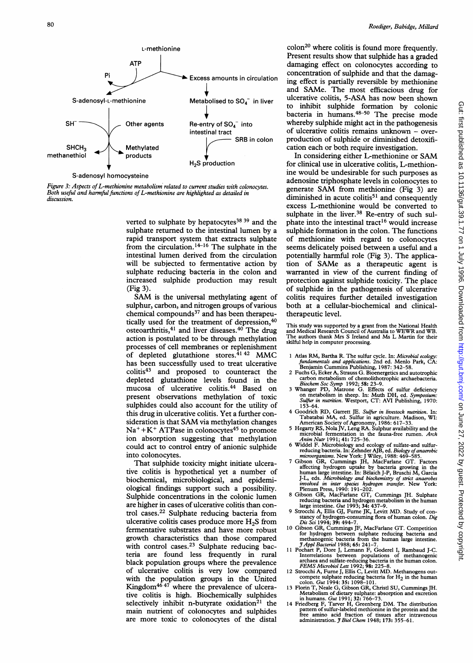

Figure 3: Aspects of L-methionine metabolism related to current studies with colonocytes. Both useful and harmful functions of L-methionine are highlighted as detailed in discussion.

verted to sulphate by hepatocytes $38\,39$  and the sulphate returned to the intestinal lumen by a rapid transport system that extracts sulphate from the circulation.14-16 The sulphate in the intestinal lumen derived from the circulation will be subjected to fermentative action by sulphate reducing bacteria in the colon and increased sulphide production may result (Fig 3).

SAM is the universal methylating agent of sulphur, carbon, and nitrogen groups of various chemical compounds<sup>37</sup> and has been therapeutically used for the treatment of depression,<sup>40</sup> osteoarthritis,<sup>41</sup> and liver diseases.<sup>40</sup> The drug action is postulated to be through methylation processes of cell membranes or replenishment of depleted glutathione stores. $4142$  MMC has been successfully used to treat ulcerative colitis<sup>43</sup> and proposed to counteract the depleted glutathione levels found in the mucosa of ulcerative colitis.44 Based on present observations methylation of toxic sulphides could also account for the utility of this drug in ulcerative colitis. Yet a further consideration is that SAM via methylation changes  $Na^+ + K^+$  ATPase in colonocytes<sup>45</sup> to promote ion absorption suggesting that methylation could act to control entry of anionic sulphide into colonocytes.

That sulphide toxicity might initiate ulcerative colitis is hypothetical yet a number of biochemical, microbiological, and epidemiological findings support such a possibility. Sulphide concentrations in the colonic lumen are higher in cases of ulcerative colitis than control cases.22 Sulphate reducing bacteria from ulcerative colitis cases produce more  $H_2S$  from fermentative substrates and have more robust growth characteristics than those compared with control cases.<sup>23</sup> Sulphate reducing bacteria are found less frequently in rural black population groups where the prevalence of ulcerative colitis is very low compared with the population groups in the United Kingdom<sup>4647</sup> where the prevalence of ulcerative colitis is high. Biochemically sulphides selectively inhibit n-butyrate oxidation<sup>21</sup> the main nutrient of colonocytes and sulphides are more toxic to colonocytes of the distal

 $\text{colon}^{20}$  where colitis is found more frequently. Present results show that sulphide has a graded damaging effect on colonocytes according to concentration of sulphide and that the damaging effect is partially reversible by methionine and SAMe. The most efficacious drug for ulcerative colitis, 5-ASA has now been shown to inhibit sulphide formation by colonic bacteria in humans.<sup>48–50</sup> The precise mode whereby sulphide might act in the pathogenesis of ulcerative colitis remains unknown  $-$  overproduction of sulphide or diminished detoxification each or both require investigation.

In considering either L-methionine or SAM for clinical use in ulcerative colitis, L-methionine would be undesirable for such purposes as adenosine triphosphate levels in colonocytes to generate SAM from methionine (Fig 3) are diminished in acute colitis $51$  and consequently excess L-methionine would be converted to sulphate in the liver.<sup>38</sup> Re-entry of such sulphate into the intestinal tract<sup>16</sup> would increase sulphide formation in the colon. The functions of methionine with regard to colonocytes seems delicately poised between a useful and a potentially harmful role (Fig 3). The application of SAMe as <sup>a</sup> therapeutic agent is warranted in view of the current finding of protection against sulphide toxicity. The place of sulphide in the pathogenesis of ulcerative colitis requires further detailed investigation both at a cellular-biochemical and clinicaltherapeutic level.

This study was supported by a grant from the National Health and Medical Research Council of Australia to WEWR and WB. The authors thank Mrs S Ireland and Ms L Martin for their skilful help in computer processing.

- 1 Atlas RM, Bartha R. The sulfur cycle. In: Microbial ecology:<br>fundamentals and applications. 2nd ed. Menlo Park, CA:<br>Benjamin Cummins Publishing, 1987: 342-58.
- 2 Fuchs G, Ecker A, Strauss G. Bioenergetics and autotrophic carbon metabolism of chemolithotrophic archaebacteria.
- Biochem Soc Symp 1992; 58: 23–9.<br>3 Whanger PD, Matrone G. Effects of sulfur deficiency on metabolism in sheep. In: Muth DH, ed. *Symposium:*<br>*Sulfur in nutrition*. Westport, CT: AVI Publishing, 1970: 153-64.
- 4 Goodrich RD, Garrett JE. Sulfur in livestock nutrition. In:
- Tabatabai MA, ed. Sulfur in agriculture. Madison, WI:<br>American Society of Agronomy, 1986: 617–33.<br>5 Hegarty RS, Nola JV, Leng RA. Sulphur availability and the<br>microbial fermentation in the fauna-free rumen. Arch
- 
- Anim Nutr 1991; 41: 725–36.<br>
6 Widdel F. Microbiology and ecology of sulfate-and sulfur-<br>
reducing bacteria. In: Zehnder AJB, ed. *Biology of anaerobic*<br>
microorganisms. New York: J Wiley, 1988: 469–585.<br>
7 Gibson GR, Cumm involved in inter species hydrogen transfer. New York: Plenum Press, 1990: 191-202.
- 8 Gibson GR, MacFarlane GT, Cummings JH. Sulphate reducing bacteria and hydrogen metabolism in the human
- large intestine. Gut 1993; 34: 437-9. <sup>9</sup> Strocchi A, Ellis GJ, Furne JK, Levitt MD. Study of constancy of hydrogen-consuming flora of human colon. *Dig* Dis Sci 1994; 39: 494–7.
- 10 Gibson GR, Cummings JF, MacFarlane GT. Competition for hydrogen between sulphate reducing bacteria and<br>methanogenic bacteria from the human large intestine.<br>J Appl Bacteriol 1988; 65: 241–7.
- 11 Pochart P, Dore J, Lemann F, Goderel I, Rambaud J-C.<br>Interrelations between populations of methanogenic<br>archaea and sulfate-reducing bacteria in the human colon.<br>FEMS Microbiol Lett 1992; 98: 225-8.<br>12 Strocchi A, Furne
- 
- compete sulphate reducing bacteria for  $H_2$  in the human<br>colon. *Gut* 1994: 35: 1098-101.<br>Therin T, Neale G, Gibson GR, Christl SU, Cummings JH.<br>Metabolism of dietary sulphate: absorption and excretion<br>in humans. *Gut* 1
- pattern of sulfur-labeled methionine in the protein and the<br>free amino acid fraction of tissues after intravenous<br>administration. J Biol Chem 1948; 173: 355–61.